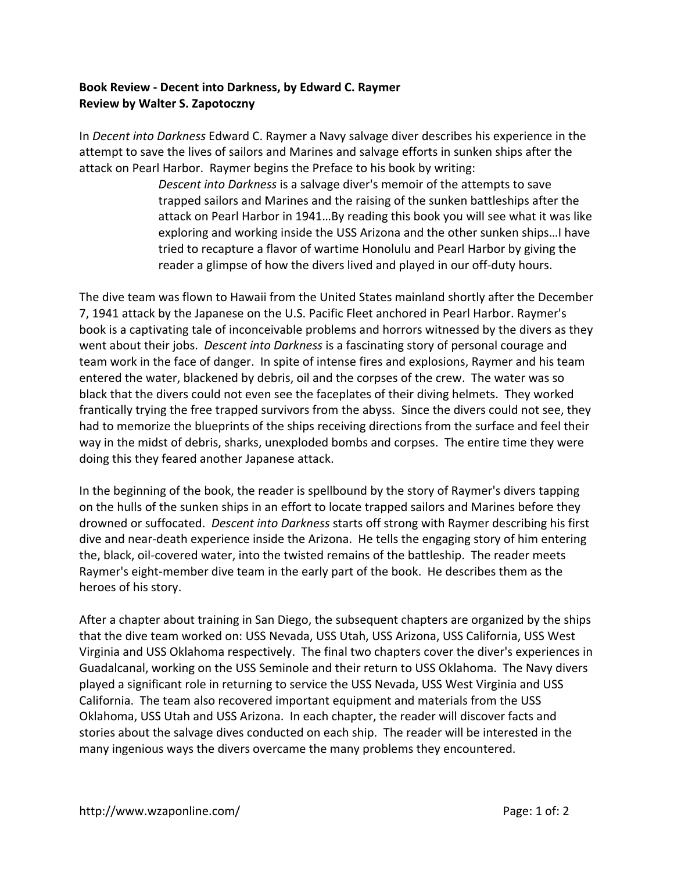## **Book Review ‐ Decent into Darkness, by Edward C. Raymer Review by Walter S. Zapotoczny**

In *Decent into Darkness* Edward C. Raymer a Navy salvage diver describes his experience in the attempt to save the lives of sailors and Marines and salvage efforts in sunken ships after the attack on Pearl Harbor. Raymer begins the Preface to his book by writing:

> *Descent into Darkness* is a salvage diver's memoir of the attempts to save trapped sailors and Marines and the raising of the sunken battleships after the attack on Pearl Harbor in 1941…By reading this book you will see what it was like exploring and working inside the USS Arizona and the other sunken ships…I have tried to recapture a flavor of wartime Honolulu and Pearl Harbor by giving the reader a glimpse of how the divers lived and played in our off‐duty hours.

The dive team was flown to Hawaii from the United States mainland shortly after the December 7, 1941 attack by the Japanese on the U.S. Pacific Fleet anchored in Pearl Harbor. Raymer's book is a captivating tale of inconceivable problems and horrors witnessed by the divers as they went about their jobs. *Descent into Darkness* is a fascinating story of personal courage and team work in the face of danger. In spite of intense fires and explosions, Raymer and his team entered the water, blackened by debris, oil and the corpses of the crew. The water was so black that the divers could not even see the faceplates of their diving helmets. They worked frantically trying the free trapped survivors from the abyss. Since the divers could not see, they had to memorize the blueprints of the ships receiving directions from the surface and feel their way in the midst of debris, sharks, unexploded bombs and corpses. The entire time they were doing this they feared another Japanese attack.

In the beginning of the book, the reader is spellbound by the story of Raymer's divers tapping on the hulls of the sunken ships in an effort to locate trapped sailors and Marines before they drowned or suffocated. *Descent into Darkness* starts off strong with Raymer describing his first dive and near‐death experience inside the Arizona. He tells the engaging story of him entering the, black, oil‐covered water, into the twisted remains of the battleship. The reader meets Raymer's eight-member dive team in the early part of the book. He describes them as the heroes of his story.

After a chapter about training in San Diego, the subsequent chapters are organized by the ships that the dive team worked on: USS Nevada, USS Utah, USS Arizona, USS California, USS West Virginia and USS Oklahoma respectively. The final two chapters cover the diver's experiences in Guadalcanal, working on the USS Seminole and their return to USS Oklahoma. The Navy divers played a significant role in returning to service the USS Nevada, USS West Virginia and USS California. The team also recovered important equipment and materials from the USS Oklahoma, USS Utah and USS Arizona. In each chapter, the reader will discover facts and stories about the salvage dives conducted on each ship. The reader will be interested in the many ingenious ways the divers overcame the many problems they encountered.